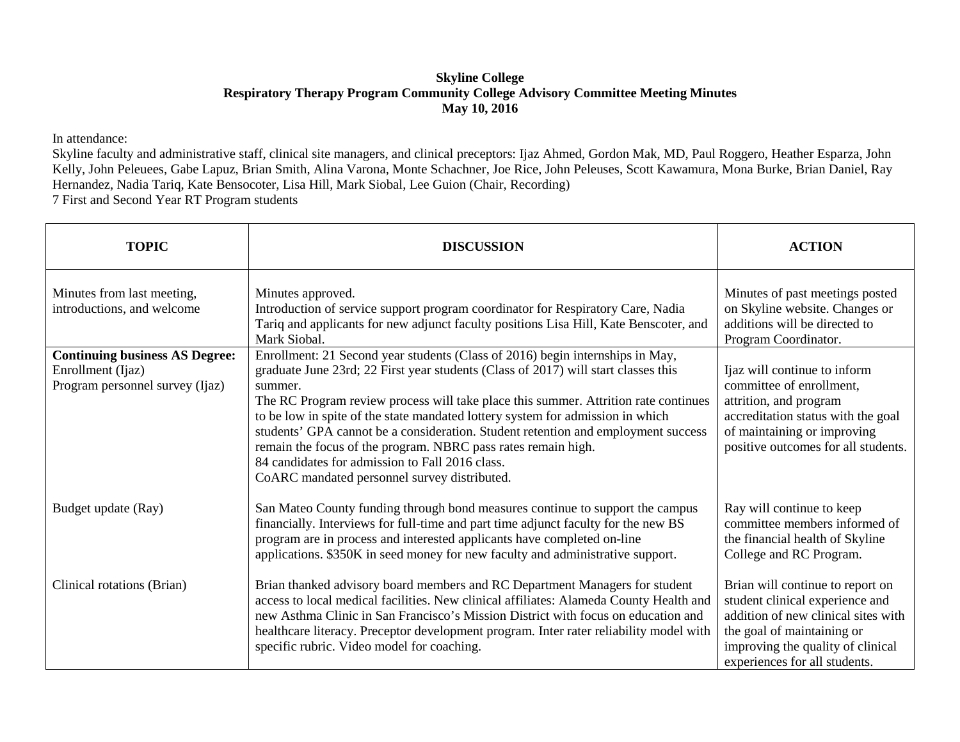## **Skyline College Respiratory Therapy Program Community College Advisory Committee Meeting Minutes May 10, 2016**

In attendance:

Skyline faculty and administrative staff, clinical site managers, and clinical preceptors: Ijaz Ahmed, Gordon Mak, MD, Paul Roggero, Heather Esparza, John Kelly, John Peleuees, Gabe Lapuz, Brian Smith, Alina Varona, Monte Schachner, Joe Rice, John Peleuses, Scott Kawamura, Mona Burke, Brian Daniel, Ray Hernandez, Nadia Tariq, Kate Bensocoter, Lisa Hill, Mark Siobal, Lee Guion (Chair, Recording)

7 First and Second Year RT Program students

| <b>TOPIC</b>                                                                                  | <b>DISCUSSION</b>                                                                                                                                                                                                                                                                                                                                                                                                                                                                                                                                                                                                | <b>ACTION</b>                                                                                                                                                                                                  |
|-----------------------------------------------------------------------------------------------|------------------------------------------------------------------------------------------------------------------------------------------------------------------------------------------------------------------------------------------------------------------------------------------------------------------------------------------------------------------------------------------------------------------------------------------------------------------------------------------------------------------------------------------------------------------------------------------------------------------|----------------------------------------------------------------------------------------------------------------------------------------------------------------------------------------------------------------|
| Minutes from last meeting,<br>introductions, and welcome                                      | Minutes approved.<br>Introduction of service support program coordinator for Respiratory Care, Nadia<br>Tariq and applicants for new adjunct faculty positions Lisa Hill, Kate Benscoter, and<br>Mark Siobal.                                                                                                                                                                                                                                                                                                                                                                                                    | Minutes of past meetings posted<br>on Skyline website. Changes or<br>additions will be directed to<br>Program Coordinator.                                                                                     |
| <b>Continuing business AS Degree:</b><br>Enrollment (Ijaz)<br>Program personnel survey (Ijaz) | Enrollment: 21 Second year students (Class of 2016) begin internships in May,<br>graduate June 23rd; 22 First year students (Class of 2017) will start classes this<br>summer.<br>The RC Program review process will take place this summer. Attrition rate continues<br>to be low in spite of the state mandated lottery system for admission in which<br>students' GPA cannot be a consideration. Student retention and employment success<br>remain the focus of the program. NBRC pass rates remain high.<br>84 candidates for admission to Fall 2016 class.<br>CoARC mandated personnel survey distributed. | Ijaz will continue to inform<br>committee of enrollment,<br>attrition, and program<br>accreditation status with the goal<br>of maintaining or improving<br>positive outcomes for all students.                 |
| Budget update (Ray)                                                                           | San Mateo County funding through bond measures continue to support the campus<br>financially. Interviews for full-time and part time adjunct faculty for the new BS<br>program are in process and interested applicants have completed on-line<br>applications. \$350K in seed money for new faculty and administrative support.                                                                                                                                                                                                                                                                                 | Ray will continue to keep<br>committee members informed of<br>the financial health of Skyline<br>College and RC Program.                                                                                       |
| Clinical rotations (Brian)                                                                    | Brian thanked advisory board members and RC Department Managers for student<br>access to local medical facilities. New clinical affiliates: Alameda County Health and<br>new Asthma Clinic in San Francisco's Mission District with focus on education and<br>healthcare literacy. Preceptor development program. Inter rater reliability model with<br>specific rubric. Video model for coaching.                                                                                                                                                                                                               | Brian will continue to report on<br>student clinical experience and<br>addition of new clinical sites with<br>the goal of maintaining or<br>improving the quality of clinical<br>experiences for all students. |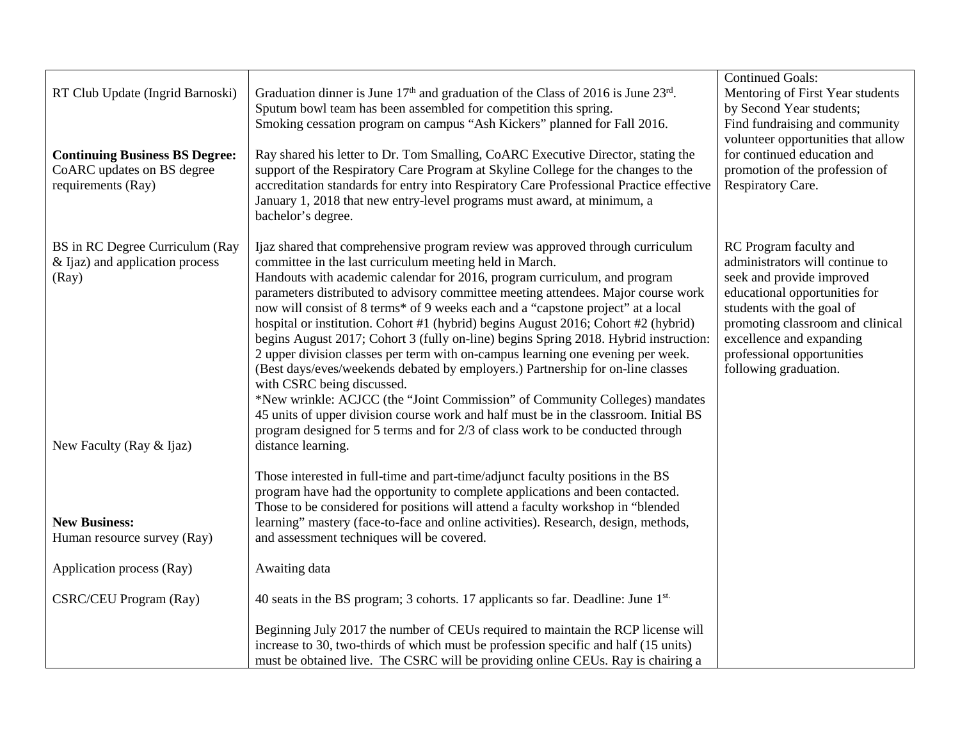| RT Club Update (Ingrid Barnoski)<br><b>Continuing Business BS Degree:</b><br>CoARC updates on BS degree<br>requirements (Ray) | Graduation dinner is June $17th$ and graduation of the Class of 2016 is June $23rd$ .<br>Sputum bowl team has been assembled for competition this spring.<br>Smoking cessation program on campus "Ash Kickers" planned for Fall 2016.<br>Ray shared his letter to Dr. Tom Smalling, CoARC Executive Director, stating the<br>support of the Respiratory Care Program at Skyline College for the changes to the<br>accreditation standards for entry into Respiratory Care Professional Practice effective<br>January 1, 2018 that new entry-level programs must award, at minimum, a<br>bachelor's degree.                                                                                                                                                                                                                                                                                                                                                                                                                                                      | <b>Continued Goals:</b><br>Mentoring of First Year students<br>by Second Year students;<br>Find fundraising and community<br>volunteer opportunities that allow<br>for continued education and<br>promotion of the profession of<br>Respiratory Care.                       |
|-------------------------------------------------------------------------------------------------------------------------------|-----------------------------------------------------------------------------------------------------------------------------------------------------------------------------------------------------------------------------------------------------------------------------------------------------------------------------------------------------------------------------------------------------------------------------------------------------------------------------------------------------------------------------------------------------------------------------------------------------------------------------------------------------------------------------------------------------------------------------------------------------------------------------------------------------------------------------------------------------------------------------------------------------------------------------------------------------------------------------------------------------------------------------------------------------------------|-----------------------------------------------------------------------------------------------------------------------------------------------------------------------------------------------------------------------------------------------------------------------------|
| BS in RC Degree Curriculum (Ray<br>& Ijaz) and application process<br>(Ray)<br>New Faculty (Ray & Ijaz)                       | Ijaz shared that comprehensive program review was approved through curriculum<br>committee in the last curriculum meeting held in March.<br>Handouts with academic calendar for 2016, program curriculum, and program<br>parameters distributed to advisory committee meeting attendees. Major course work<br>now will consist of 8 terms* of 9 weeks each and a "capstone project" at a local<br>hospital or institution. Cohort #1 (hybrid) begins August 2016; Cohort #2 (hybrid)<br>begins August 2017; Cohort 3 (fully on-line) begins Spring 2018. Hybrid instruction:<br>2 upper division classes per term with on-campus learning one evening per week.<br>(Best days/eves/weekends debated by employers.) Partnership for on-line classes<br>with CSRC being discussed.<br>*New wrinkle: ACJCC (the "Joint Commission" of Community Colleges) mandates<br>45 units of upper division course work and half must be in the classroom. Initial BS<br>program designed for 5 terms and for 2/3 of class work to be conducted through<br>distance learning. | RC Program faculty and<br>administrators will continue to<br>seek and provide improved<br>educational opportunities for<br>students with the goal of<br>promoting classroom and clinical<br>excellence and expanding<br>professional opportunities<br>following graduation. |
| <b>New Business:</b><br>Human resource survey (Ray)                                                                           | Those interested in full-time and part-time/adjunct faculty positions in the BS<br>program have had the opportunity to complete applications and been contacted.<br>Those to be considered for positions will attend a faculty workshop in "blended<br>learning" mastery (face-to-face and online activities). Research, design, methods,<br>and assessment techniques will be covered.                                                                                                                                                                                                                                                                                                                                                                                                                                                                                                                                                                                                                                                                         |                                                                                                                                                                                                                                                                             |
| Application process (Ray)                                                                                                     | Awaiting data                                                                                                                                                                                                                                                                                                                                                                                                                                                                                                                                                                                                                                                                                                                                                                                                                                                                                                                                                                                                                                                   |                                                                                                                                                                                                                                                                             |
| <b>CSRC/CEU Program (Ray)</b>                                                                                                 | 40 seats in the BS program; 3 cohorts. 17 applicants so far. Deadline: June 1st.                                                                                                                                                                                                                                                                                                                                                                                                                                                                                                                                                                                                                                                                                                                                                                                                                                                                                                                                                                                |                                                                                                                                                                                                                                                                             |
|                                                                                                                               | Beginning July 2017 the number of CEUs required to maintain the RCP license will<br>increase to 30, two-thirds of which must be profession specific and half (15 units)<br>must be obtained live. The CSRC will be providing online CEUs. Ray is chairing a                                                                                                                                                                                                                                                                                                                                                                                                                                                                                                                                                                                                                                                                                                                                                                                                     |                                                                                                                                                                                                                                                                             |